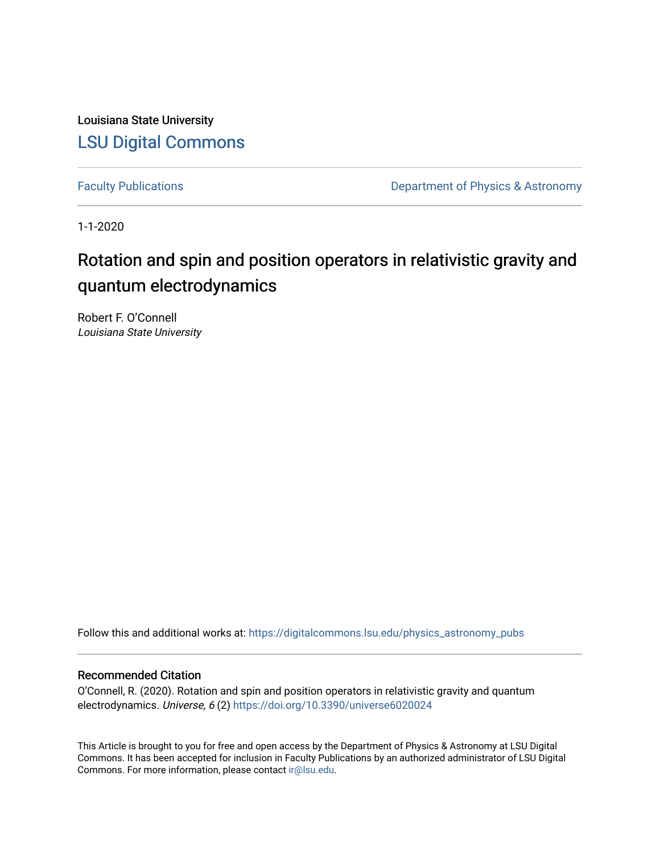Louisiana State University [LSU Digital Commons](https://digitalcommons.lsu.edu/)

[Faculty Publications](https://digitalcommons.lsu.edu/physics_astronomy_pubs) **Exercise 2 and Table 2 and Table 2 and Table 2 and Table 2 and Table 2 and Table 2 and Table 2 and Table 2 and Table 2 and Table 2 and Table 2 and Table 2 and Table 2 and Table 2 and Table 2 and Table** 

1-1-2020

# Rotation and spin and position operators in relativistic gravity and quantum electrodynamics

Robert F. O'Connell Louisiana State University

Follow this and additional works at: [https://digitalcommons.lsu.edu/physics\\_astronomy\\_pubs](https://digitalcommons.lsu.edu/physics_astronomy_pubs?utm_source=digitalcommons.lsu.edu%2Fphysics_astronomy_pubs%2F3857&utm_medium=PDF&utm_campaign=PDFCoverPages) 

# Recommended Citation

O'Connell, R. (2020). Rotation and spin and position operators in relativistic gravity and quantum electrodynamics. Universe, 6 (2)<https://doi.org/10.3390/universe6020024>

This Article is brought to you for free and open access by the Department of Physics & Astronomy at LSU Digital Commons. It has been accepted for inclusion in Faculty Publications by an authorized administrator of LSU Digital Commons. For more information, please contact [ir@lsu.edu](mailto:ir@lsu.edu).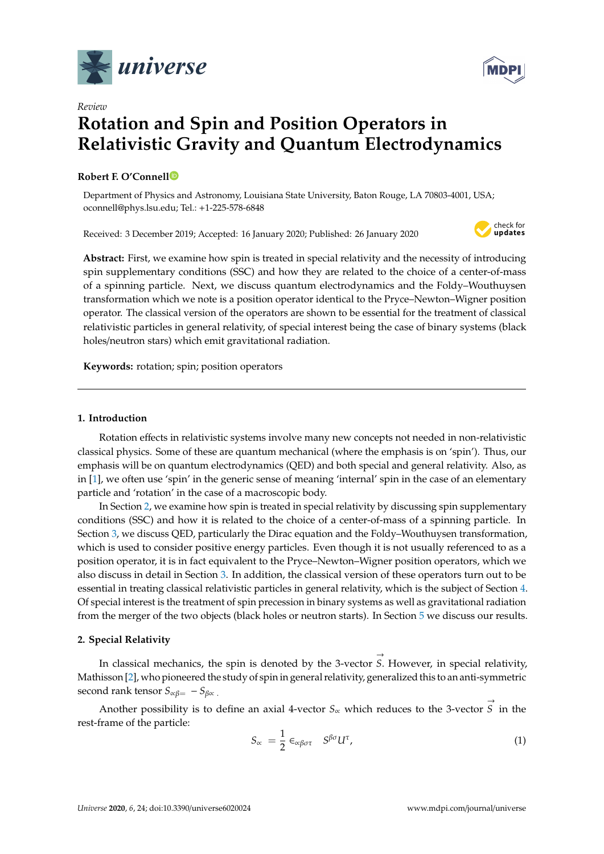



# *Review* **Rotation and Spin and Position Operators in Relativistic Gravity and Quantum Electrodynamics**

### **Robert F. O'Connel[l](https://orcid.org/0000-0003-1322-396X)**

Department of Physics and Astronomy, Louisiana State University, Baton Rouge, LA 70803-4001, USA; oconnell@phys.lsu.edu; Tel.: +1-225-578-6848

Received: 3 December 2019; Accepted: 16 January 2020; Published: 26 January 2020



**Abstract:** First, we examine how spin is treated in special relativity and the necessity of introducing spin supplementary conditions (SSC) and how they are related to the choice of a center-of-mass of a spinning particle. Next, we discuss quantum electrodynamics and the Foldy–Wouthuysen transformation which we note is a position operator identical to the Pryce–Newton–Wigner position operator. The classical version of the operators are shown to be essential for the treatment of classical relativistic particles in general relativity, of special interest being the case of binary systems (black holes/neutron stars) which emit gravitational radiation.

**Keywords:** rotation; spin; position operators

#### **1. Introduction**

Rotation effects in relativistic systems involve many new concepts not needed in non-relativistic classical physics. Some of these are quantum mechanical (where the emphasis is on 'spin'). Thus, our emphasis will be on quantum electrodynamics (QED) and both special and general relativity. Also, as in [\[1\]](#page-6-0), we often use 'spin' in the generic sense of meaning 'internal' spin in the case of an elementary particle and 'rotation' in the case of a macroscopic body.

In Section [2,](#page-1-0) we examine how spin is treated in special relativity by discussing spin supplementary conditions (SSC) and how it is related to the choice of a center-of-mass of a spinning particle. In Section [3,](#page-2-0) we discuss QED, particularly the Dirac equation and the Foldy–Wouthuysen transformation, which is used to consider positive energy particles. Even though it is not usually referenced to as a position operator, it is in fact equivalent to the Pryce–Newton–Wigner position operators, which we also discuss in detail in Section [3.](#page-2-0) In addition, the classical version of these operators turn out to be essential in treating classical relativistic particles in general relativity, which is the subject of Section [4.](#page-3-0) Of special interest is the treatment of spin precession in binary systems as well as gravitational radiation from the merger of the two objects (black holes or neutron starts). In Section [5](#page-5-0) we discuss our results.

### <span id="page-1-0"></span>**2. Special Relativity**

In classical mechanics, the spin is denoted by the 3-vector  $\rightarrow$ *S*. However, in special relativity, Mathisson [\[2\]](#page-6-1), who pioneered the study of spin in general relativity, generalized this to an anti-symmetric second rank tensor  $S_{\alpha\beta} = -S_{\beta\alpha}$ .  $\rightarrow$ 

Another possibility is to define an axial 4-vector *S*∝ which reduces to the 3-vector *S* in the rest-frame of the particle:

$$
S_{\alpha} = \frac{1}{2} \epsilon_{\alpha\beta\sigma\tau} \quad S^{\beta\sigma} U^{\tau}, \tag{1}
$$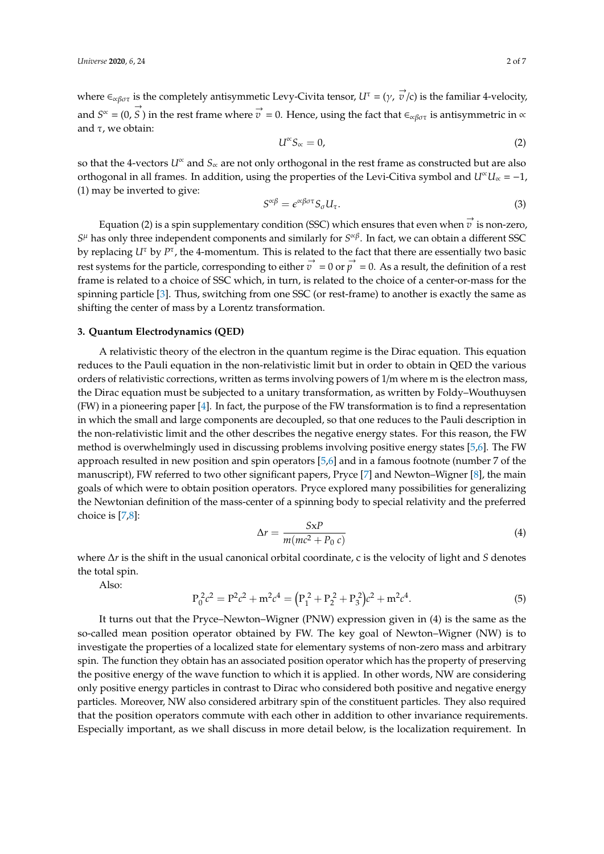where  $\epsilon_{\alpha\beta\sigma\tau}$  is the completely antisymmetic Levy-Civita tensor,  $U^{\tau} = (\gamma, \vec{v}/c)$  is the familiar 4-velocity, and  $S^{\infty} = (0, \vec{S})$  in the rest frame where  $\vec{v} = 0$ . Hence, using the fact that  $\in_{\alpha\beta\sigma\tau}$  is antisymmetric in  $\infty$ and  $τ$ , we obtain:

$$
U^{\alpha} S_{\alpha} = 0, \tag{2}
$$

so that the 4-vectors *U*<sup>∝</sup> and *S*<sup>∝</sup> are not only orthogonal in the rest frame as constructed but are also orthogonal in all frames. In addition, using the properties of the Levi-Citiva symbol and  $U^{\alpha}U_{\alpha} = -1$ , (1) may be inverted to give:

$$
S^{\alpha\beta} = \epsilon^{\alpha\beta\sigma\tau} S_{\sigma} U_{\tau}.
$$
\n(3)

Equation (2) is a spin supplementary condition (SSC) which ensures that even when  $\stackrel{\rightarrow}{v}$  is non-zero, *S* <sup>µ</sup> has only three independent components and similarly for *S* ∝β . In fact, we can obtain a different SSC by replacing *U<sup>τ</sup>* by *P<sup>τ</sup>*, the 4-momentum. This is related to the fact that there are essentially two basic rest systems for the particle, corresponding to either  $\vec{v} = 0$  or  $\vec{p} = 0$ . As a result, the definition of a rest frame is related to a choice of SSC which, in turn, is related to the choice of a center-or-mass for the spinning particle [\[3\]](#page-6-2). Thus, switching from one SSC (or rest-frame) to another is exactly the same as shifting the center of mass by a Lorentz transformation.

#### <span id="page-2-0"></span>**3. Quantum Electrodynamics (QED)**

A relativistic theory of the electron in the quantum regime is the Dirac equation. This equation reduces to the Pauli equation in the non-relativistic limit but in order to obtain in QED the various orders of relativistic corrections, written as terms involving powers of 1/m where m is the electron mass, the Dirac equation must be subjected to a unitary transformation, as written by Foldy–Wouthuysen (FW) in a pioneering paper [\[4\]](#page-6-3). In fact, the purpose of the FW transformation is to find a representation in which the small and large components are decoupled, so that one reduces to the Pauli description in the non-relativistic limit and the other describes the negative energy states. For this reason, the FW method is overwhelmingly used in discussing problems involving positive energy states [\[5,](#page-6-4)[6\]](#page-6-5). The FW approach resulted in new position and spin operators [\[5](#page-6-4)[,6\]](#page-6-5) and in a famous footnote (number 7 of the manuscript), FW referred to two other significant papers, Pryce [\[7\]](#page-6-6) and Newton–Wigner [\[8\]](#page-6-7), the main goals of which were to obtain position operators. Pryce explored many possibilities for generalizing the Newtonian definition of the mass-center of a spinning body to special relativity and the preferred choice is [\[7,](#page-6-6)[8\]](#page-6-7):

$$
\Delta r = \frac{S \times P}{m(mc^2 + P_0 c)}\tag{4}
$$

where ∆*r* is the shift in the usual canonical orbital coordinate, c is the velocity of light and *S* denotes the total spin.

Also:

$$
P_0^2 c^2 = P^2 c^2 + m^2 c^4 = (P_1^2 + P_2^2 + P_3^2) c^2 + m^2 c^4.
$$
 (5)

It turns out that the Pryce–Newton–Wigner (PNW) expression given in (4) is the same as the so-called mean position operator obtained by FW. The key goal of Newton–Wigner (NW) is to investigate the properties of a localized state for elementary systems of non-zero mass and arbitrary spin. The function they obtain has an associated position operator which has the property of preserving the positive energy of the wave function to which it is applied. In other words, NW are considering only positive energy particles in contrast to Dirac who considered both positive and negative energy particles. Moreover, NW also considered arbitrary spin of the constituent particles. They also required that the position operators commute with each other in addition to other invariance requirements. Especially important, as we shall discuss in more detail below, is the localization requirement. In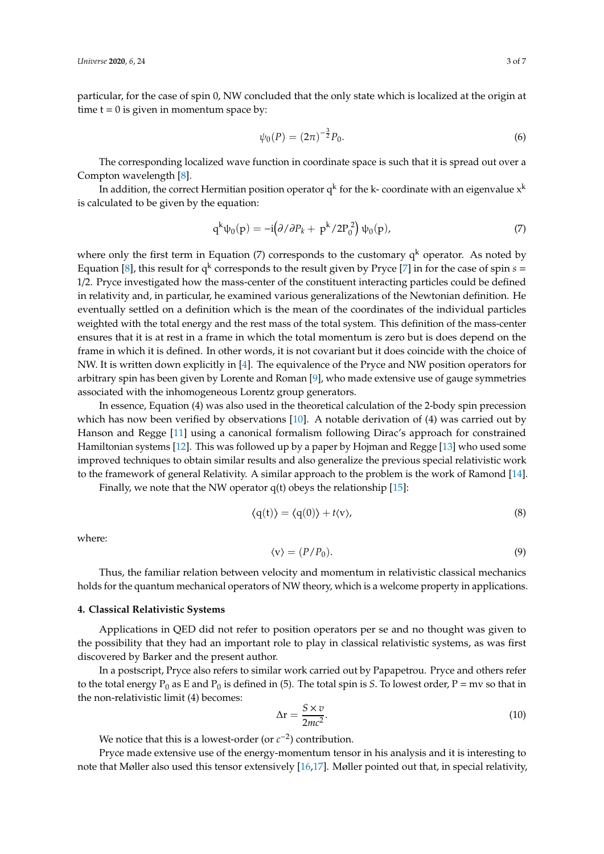particular, for the case of spin 0, NW concluded that the only state which is localized at the origin at time  $t = 0$  is given in momentum space by:

$$
\psi_0(P) = (2\pi)^{-\frac{3}{2}} P_0.
$$
\n(6)

The corresponding localized wave function in coordinate space is such that it is spread out over a Compton wavelength [\[8\]](#page-6-7).

In addition, the correct Hermitian position operator  $\mathrm{q}^\mathrm{k}$  for the k- coordinate with an eigenvalue  $\mathrm{x}^\mathrm{k}$ is calculated to be given by the equation:

$$
q^k \psi_0(p) = -i \left(\frac{\partial}{\partial P_k} + p^k / 2P_0^2\right) \psi_0(p),\tag{7}
$$

where only the first term in Equation (7) corresponds to the customary  $q^k$  operator. As noted by Equation [\[8\]](#page-6-7), this result for  $q^k$  corresponds to the result given by Pryce [\[7\]](#page-6-6) in for the case of spin  $s =$ 1/2. Pryce investigated how the mass-center of the constituent interacting particles could be defined in relativity and, in particular, he examined various generalizations of the Newtonian definition. He eventually settled on a definition which is the mean of the coordinates of the individual particles weighted with the total energy and the rest mass of the total system. This definition of the mass-center ensures that it is at rest in a frame in which the total momentum is zero but is does depend on the frame in which it is defined. In other words, it is not covariant but it does coincide with the choice of NW. It is written down explicitly in [\[4\]](#page-6-3). The equivalence of the Pryce and NW position operators for arbitrary spin has been given by Lorente and Roman [\[9\]](#page-6-8), who made extensive use of gauge symmetries associated with the inhomogeneous Lorentz group generators.

In essence, Equation (4) was also used in the theoretical calculation of the 2-body spin precession which has now been verified by observations [\[10\]](#page-6-9). A notable derivation of (4) was carried out by Hanson and Regge [\[11\]](#page-6-10) using a canonical formalism following Dirac's approach for constrained Hamiltonian systems [\[12\]](#page-6-11). This was followed up by a paper by Hojman and Regge [\[13\]](#page-6-12) who used some improved techniques to obtain similar results and also generalize the previous special relativistic work to the framework of general Relativity. A similar approach to the problem is the work of Ramond [\[14\]](#page-6-13).

Finally, we note that the NW operator  $q(t)$  obeys the relationship [\[15\]](#page-6-14):

$$
\langle q(t) \rangle = \langle q(0) \rangle + t \langle v \rangle, \tag{8}
$$

where:

$$
\langle \mathbf{v} \rangle = (P/P_0). \tag{9}
$$

Thus, the familiar relation between velocity and momentum in relativistic classical mechanics holds for the quantum mechanical operators of NW theory, which is a welcome property in applications.

#### <span id="page-3-0"></span>**4. Classical Relativistic Systems**

Applications in QED did not refer to position operators per se and no thought was given to the possibility that they had an important role to play in classical relativistic systems, as was first discovered by Barker and the present author.

In a postscript, Pryce also refers to similar work carried out by Papapetrou. Pryce and others refer to the total energy  $P_0$  as E and  $P_0$  is defined in (5). The total spin is *S*. To lowest order,  $P = mv$  so that in the non-relativistic limit (4) becomes:

$$
\Delta r = \frac{S \times v}{2mc^2}.
$$
\n(10)

We notice that this is a lowest-order (or  $c^{-2}$ ) contribution.

Pryce made extensive use of the energy-momentum tensor in his analysis and it is interesting to note that Møller also used this tensor extensively [\[16,](#page-6-15)[17\]](#page-6-16). Møller pointed out that, in special relativity,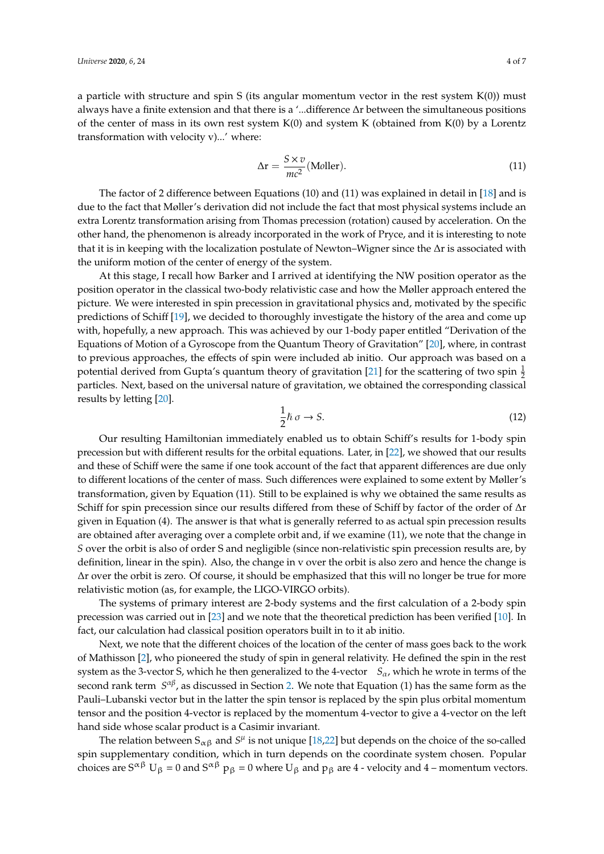a particle with structure and spin S (its angular momentum vector in the rest system K(0)) must always have a finite extension and that there is a '...difference ∆r between the simultaneous positions of the center of mass in its own rest system  $K(0)$  and system K (obtained from  $K(0)$  by a Lorentz transformation with velocity v)...' where:

$$
\Delta r = \frac{S \times v}{mc^2} \text{(Moller)}.
$$
\n(11)

The factor of 2 difference between Equations (10) and (11) was explained in detail in [\[18\]](#page-6-17) and is due to the fact that Møller's derivation did not include the fact that most physical systems include an extra Lorentz transformation arising from Thomas precession (rotation) caused by acceleration. On the other hand, the phenomenon is already incorporated in the work of Pryce, and it is interesting to note that it is in keeping with the localization postulate of Newton–Wigner since the ∆r is associated with the uniform motion of the center of energy of the system.

At this stage, I recall how Barker and I arrived at identifying the NW position operator as the position operator in the classical two-body relativistic case and how the Møller approach entered the picture. We were interested in spin precession in gravitational physics and, motivated by the specific predictions of Schiff [\[19\]](#page-6-18), we decided to thoroughly investigate the history of the area and come up with, hopefully, a new approach. This was achieved by our 1-body paper entitled "Derivation of the Equations of Motion of a Gyroscope from the Quantum Theory of Gravitation" [\[20\]](#page-6-19), where, in contrast to previous approaches, the effects of spin were included ab initio. Our approach was based on a potential derived from Gupta's quantum theory of gravitation [\[21\]](#page-6-20) for the scattering of two spin  $\frac{1}{2}$ particles. Next, based on the universal nature of gravitation, we obtained the corresponding classical results by letting [\[20\]](#page-6-19).

$$
\frac{1}{2}\hbar\,\sigma \to S. \tag{12}
$$

Our resulting Hamiltonian immediately enabled us to obtain Schiff's results for 1-body spin precession but with different results for the orbital equations. Later, in [\[22\]](#page-6-21), we showed that our results and these of Schiff were the same if one took account of the fact that apparent differences are due only to different locations of the center of mass. Such differences were explained to some extent by Møller's transformation, given by Equation (11). Still to be explained is why we obtained the same results as Schiff for spin precession since our results differed from these of Schiff by factor of the order of ∆r given in Equation (4). The answer is that what is generally referred to as actual spin precession results are obtained after averaging over a complete orbit and, if we examine (11), we note that the change in *S* over the orbit is also of order S and negligible (since non-relativistic spin precession results are, by definition, linear in the spin). Also, the change in v over the orbit is also zero and hence the change is ∆r over the orbit is zero. Of course, it should be emphasized that this will no longer be true for more relativistic motion (as, for example, the LIGO-VIRGO orbits).

The systems of primary interest are 2-body systems and the first calculation of a 2-body spin precession was carried out in [\[23\]](#page-6-22) and we note that the theoretical prediction has been verified [\[10\]](#page-6-9). In fact, our calculation had classical position operators built in to it ab initio.

Next, we note that the different choices of the location of the center of mass goes back to the work of Mathisson [\[2\]](#page-6-1), who pioneered the study of spin in general relativity. He defined the spin in the rest system as the 3-vector *S*, which he then generalized to the 4-vector  $S_{\alpha}$ , which he wrote in terms of the second rank term *S<sup>αβ</sup>,* as discussed in Section [2.](#page-1-0) We note that Equation (1) has the same form as the Pauli–Lubanski vector but in the latter the spin tensor is replaced by the spin plus orbital momentum tensor and the position 4-vector is replaced by the momentum 4-vector to give a 4-vector on the left hand side whose scalar product is a Casimir invariant.

The relation between  $S_{\alpha\beta}$  and  $S^{\mu}$  is not unique [\[18,](#page-6-17)[22\]](#page-6-21) but depends on the choice of the so-called spin supplementary condition, which in turn depends on the coordinate system chosen. Popular choices are S<sup> $\alpha\beta$ </sup> U<sub>β</sub> = 0 and S<sup> $\alpha\beta$ </sup> p<sub>β</sub> = 0 where U<sub>β</sub> and p<sub>β</sub> are 4 - velocity and 4 – momentum vectors.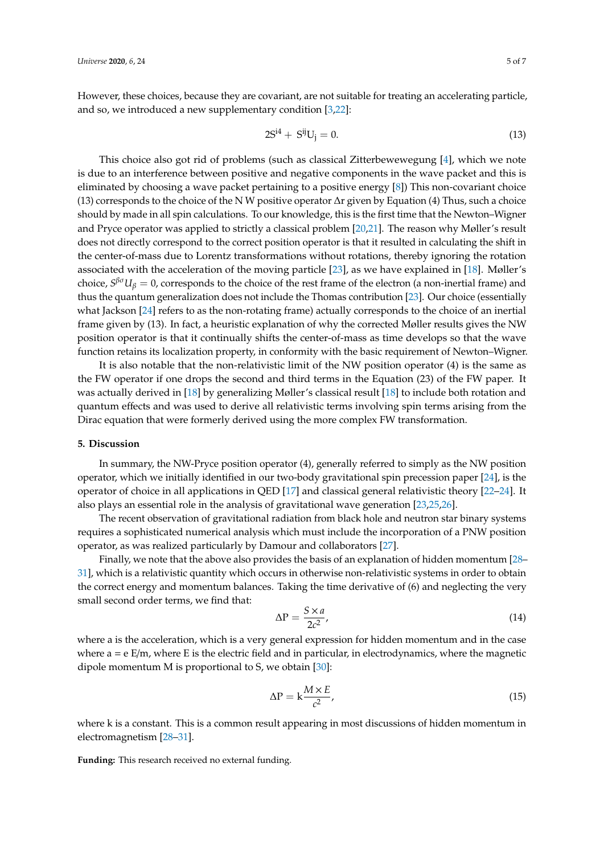However, these choices, because they are covariant, are not suitable for treating an accelerating particle, and so, we introduced a new supplementary condition [\[3,](#page-6-2)[22\]](#page-6-21):

$$
2S^{i4} + S^{ij}U_j = 0.
$$
 (13)

This choice also got rid of problems (such as classical Zitterbewewegung [\[4\]](#page-6-3), which we note is due to an interference between positive and negative components in the wave packet and this is eliminated by choosing a wave packet pertaining to a positive energy [\[8\]](#page-6-7)) This non-covariant choice (13) corresponds to the choice of the N W positive operator ∆r given by Equation (4) Thus, such a choice should by made in all spin calculations. To our knowledge, this is the first time that the Newton–Wigner and Pryce operator was applied to strictly a classical problem [\[20,](#page-6-19)[21\]](#page-6-20). The reason why Møller's result does not directly correspond to the correct position operator is that it resulted in calculating the shift in the center-of-mass due to Lorentz transformations without rotations, thereby ignoring the rotation associated with the acceleration of the moving particle [\[23\]](#page-6-22), as we have explained in [\[18\]](#page-6-17). Møller's choice,  $S^{\beta\sigma}U_\beta=0$ , corresponds to the choice of the rest frame of the electron (a non-inertial frame) and thus the quantum generalization does not include the Thomas contribution [\[23\]](#page-6-22). Our choice (essentially what Jackson [\[24\]](#page-6-23) refers to as the non-rotating frame) actually corresponds to the choice of an inertial frame given by (13). In fact, a heuristic explanation of why the corrected Møller results gives the NW position operator is that it continually shifts the center-of-mass as time develops so that the wave function retains its localization property, in conformity with the basic requirement of Newton–Wigner.

It is also notable that the non-relativistic limit of the NW position operator (4) is the same as the FW operator if one drops the second and third terms in the Equation (23) of the FW paper. It was actually derived in [\[18\]](#page-6-17) by generalizing Møller's classical result [\[18\]](#page-6-17) to include both rotation and quantum effects and was used to derive all relativistic terms involving spin terms arising from the Dirac equation that were formerly derived using the more complex FW transformation.

#### <span id="page-5-0"></span>**5. Discussion**

In summary, the NW-Pryce position operator (4), generally referred to simply as the NW position operator, which we initially identified in our two-body gravitational spin precession paper [\[24\]](#page-6-23), is the operator of choice in all applications in QED [\[17\]](#page-6-16) and classical general relativistic theory [\[22](#page-6-21)[–24\]](#page-6-23). It also plays an essential role in the analysis of gravitational wave generation [\[23,](#page-6-22)[25](#page-6-24)[,26\]](#page-7-0).

The recent observation of gravitational radiation from black hole and neutron star binary systems requires a sophisticated numerical analysis which must include the incorporation of a PNW position operator, as was realized particularly by Damour and collaborators [\[27\]](#page-7-1).

Finally, we note that the above also provides the basis of an explanation of hidden momentum [\[28–](#page-7-2) [31\]](#page-7-3), which is a relativistic quantity which occurs in otherwise non-relativistic systems in order to obtain the correct energy and momentum balances. Taking the time derivative of (6) and neglecting the very small second order terms, we find that:

$$
\Delta P = \frac{S \times a}{2c^2},\tag{14}
$$

where a is the acceleration, which is a very general expression for hidden momentum and in the case where  $a = e E/m$ , where E is the electric field and in particular, in electrodynamics, where the magnetic dipole momentum M is proportional to S, we obtain [\[30\]](#page-7-4):

$$
\Delta P = k \frac{M \times E}{c^2},\tag{15}
$$

where k is a constant. This is a common result appearing in most discussions of hidden momentum in electromagnetism [\[28–](#page-7-2)[31\]](#page-7-3).

**Funding:** This research received no external funding.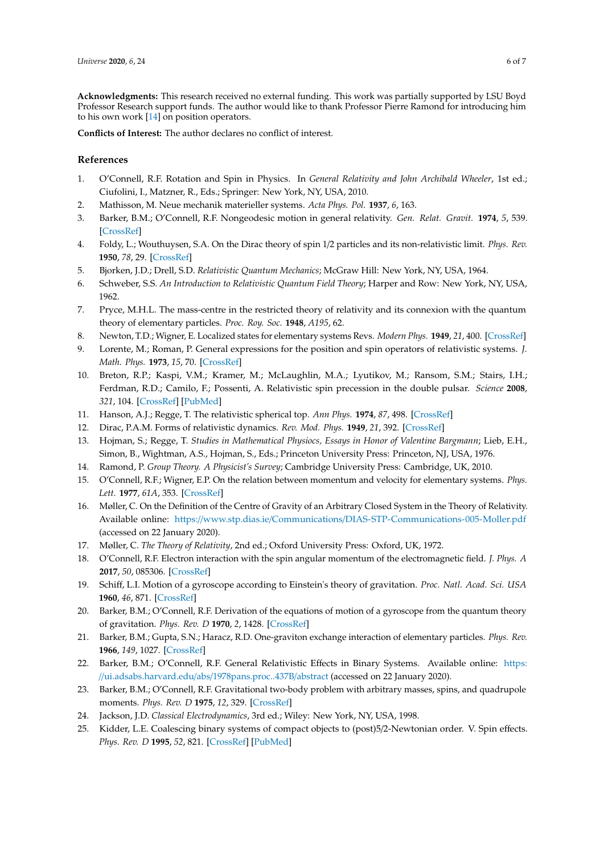**Acknowledgments:** This research received no external funding. This work was partially supported by LSU Boyd Professor Research support funds. The author would like to thank Professor Pierre Ramond for introducing him to his own work  $[14]$  on position operators.

**Conflicts of Interest:** The author declares no conflict of interest.

## **References**

- <span id="page-6-0"></span>1. O'Connell, R.F. Rotation and Spin in Physics. In *General Relativity and John Archibald Wheeler*, 1st ed.; Ciufolini, I., Matzner, R., Eds.; Springer: New York, NY, USA, 2010.
- <span id="page-6-1"></span>2. Mathisson, M. Neue mechanik materieller systems. *Acta Phys. Pol.* **1937**, *6*, 163.
- <span id="page-6-2"></span>3. Barker, B.M.; O'Connell, R.F. Nongeodesic motion in general relativity. *Gen. Relat. Gravit.* **1974**, *5*, 539. [\[CrossRef\]](http://dx.doi.org/10.1007/BF02451397)
- <span id="page-6-3"></span>4. Foldy, L.; Wouthuysen, S.A. On the Dirac theory of spin 1/2 particles and its non-relativistic limit. *Phys. Rev.* **1950**, *78*, 29. [\[CrossRef\]](http://dx.doi.org/10.1103/PhysRev.78.29)
- <span id="page-6-4"></span>5. Bjorken, J.D.; Drell, S.D. *Relativistic Quantum Mechanics*; McGraw Hill: New York, NY, USA, 1964.
- <span id="page-6-5"></span>6. Schweber, S.S. *An Introduction to Relativistic Quantum Field Theory*; Harper and Row: New York, NY, USA, 1962.
- <span id="page-6-6"></span>7. Pryce, M.H.L. The mass-centre in the restricted theory of relativity and its connexion with the quantum theory of elementary particles. *Proc. Roy. Soc.* **1948**, *A195*, 62.
- <span id="page-6-7"></span>8. Newton, T.D.; Wigner, E. Localized states for elementary systems Revs. *Modern Phys.* **1949**, *21*, 400. [\[CrossRef\]](http://dx.doi.org/10.1103/RevModPhys.21.400)
- <span id="page-6-8"></span>9. Lorente, M.; Roman, P. General expressions for the position and spin operators of relativistic systems. *J. Math. Phys.* **1973**, *15*, 70. [\[CrossRef\]](http://dx.doi.org/10.1063/1.1666508)
- <span id="page-6-9"></span>10. Breton, R.P.; Kaspi, V.M.; Kramer, M.; McLaughlin, M.A.; Lyutikov, M.; Ransom, S.M.; Stairs, I.H.; Ferdman, R.D.; Camilo, F.; Possenti, A. Relativistic spin precession in the double pulsar. *Science* **2008**, *321*, 104. [\[CrossRef\]](http://dx.doi.org/10.1126/science.1159295) [\[PubMed\]](http://www.ncbi.nlm.nih.gov/pubmed/18599782)
- <span id="page-6-10"></span>11. Hanson, A.J.; Regge, T. The relativistic spherical top. *Ann Phys.* **1974**, *87*, 498. [\[CrossRef\]](http://dx.doi.org/10.1016/0003-4916(74)90046-3)
- <span id="page-6-11"></span>12. Dirac, P.A.M. Forms of relativistic dynamics. *Rev. Mod. Phys.* **1949**, *21*, 392. [\[CrossRef\]](http://dx.doi.org/10.1103/RevModPhys.21.392)
- <span id="page-6-12"></span>13. Hojman, S.; Regge, T. *Studies in Mathematical Physiocs, Essays in Honor of Valentine Bargmann*; Lieb, E.H., Simon, B., Wightman, A.S., Hojman, S., Eds.; Princeton University Press: Princeton, NJ, USA, 1976.
- <span id="page-6-13"></span>14. Ramond, P. *Group Theory. A Physicist's Survey*; Cambridge University Press: Cambridge, UK, 2010.
- <span id="page-6-14"></span>15. O'Connell, R.F.; Wigner, E.P. On the relation between momentum and velocity for elementary systems. *Phys. Lett.* **1977**, *61A*, 353. [\[CrossRef\]](http://dx.doi.org/10.1016/0375-9601(77)90329-2)
- <span id="page-6-15"></span>16. Møller, C. On the Definition of the Centre of Gravity of an Arbitrary Closed System in the Theory of Relativity. Available online: https://www.stp.dias.ie/Communications/[DIAS-STP-Communications-005-Moller.pdf](https://www.stp.dias.ie/Communications/DIAS-STP-Communications-005-Moller.pdf) (accessed on 22 January 2020).
- <span id="page-6-16"></span>17. Møller, C. *The Theory of Relativity*, 2nd ed.; Oxford University Press: Oxford, UK, 1972.
- <span id="page-6-17"></span>18. O'Connell, R.F. Electron interaction with the spin angular momentum of the electromagnetic field. *J. Phys. A* **2017**, *50*, 085306. [\[CrossRef\]](http://dx.doi.org/10.1088/1751-8121/aa5575)
- <span id="page-6-18"></span>19. Schiff, L.I. Motion of a gyroscope according to Einstein's theory of gravitation. *Proc. Natl. Acad. Sci. USA* **1960**, *46*, 871. [\[CrossRef\]](http://dx.doi.org/10.1073/pnas.46.6.871)
- <span id="page-6-19"></span>20. Barker, B.M.; O'Connell, R.F. Derivation of the equations of motion of a gyroscope from the quantum theory of gravitation. *Phys. Rev. D* **1970**, *2*, 1428. [\[CrossRef\]](http://dx.doi.org/10.1103/PhysRevD.2.1428)
- <span id="page-6-20"></span>21. Barker, B.M.; Gupta, S.N.; Haracz, R.D. One-graviton exchange interaction of elementary particles. *Phys. Rev.* **1966**, *149*, 1027. [\[CrossRef\]](http://dx.doi.org/10.1103/PhysRev.149.1027)
- <span id="page-6-21"></span>22. Barker, B.M.; O'Connell, R.F. General Relativistic Effects in Binary Systems. Available online: [https:](https://ui.adsabs.harvard.edu/abs/1978pans.proc..437B/abstract) //[ui.adsabs.harvard.edu](https://ui.adsabs.harvard.edu/abs/1978pans.proc..437B/abstract)/abs/1978pans.proc..437B/abstract (accessed on 22 January 2020).
- <span id="page-6-22"></span>23. Barker, B.M.; O'Connell, R.F. Gravitational two-body problem with arbitrary masses, spins, and quadrupole moments. *Phys. Rev. D* **1975**, *12*, 329. [\[CrossRef\]](http://dx.doi.org/10.1103/PhysRevD.12.329)
- <span id="page-6-23"></span>24. Jackson, J.D. *Classical Electrodynamics*, 3rd ed.; Wiley: New York, NY, USA, 1998.
- <span id="page-6-24"></span>25. Kidder, L.E. Coalescing binary systems of compact objects to (post)5/2-Newtonian order. V. Spin effects. *Phys. Rev. D* **1995**, *52*, 821. [\[CrossRef\]](http://dx.doi.org/10.1103/PhysRevD.52.821) [\[PubMed\]](http://www.ncbi.nlm.nih.gov/pubmed/10019303)